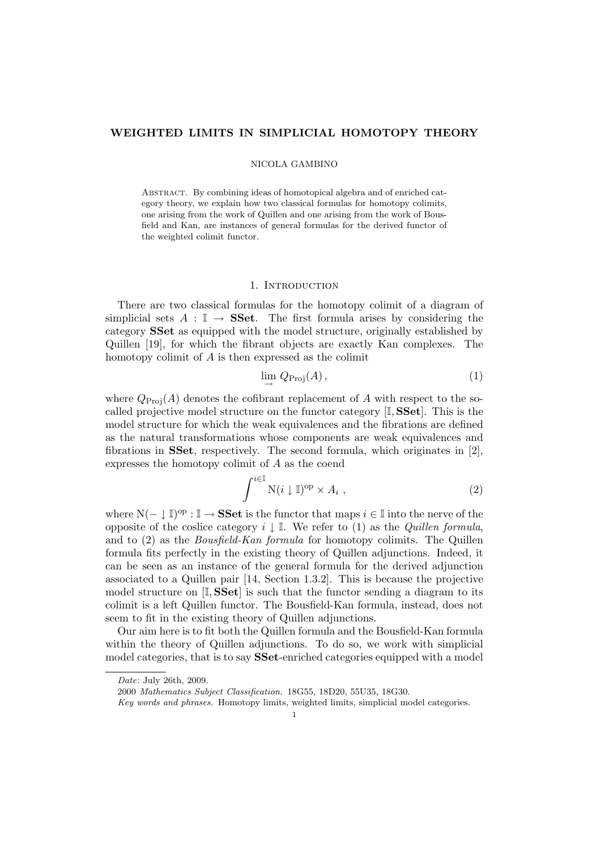# WEIGHTED LIMITS IN SIMPLICIAL HOMOTOPY THEORY

### NICOLA GAMBINO

Abstract. By combining ideas of homotopical algebra and of enriched category theory, we explain how two classical formulas for homotopy colimits, one arising from the work of Quillen and one arising from the work of Bousfield and Kan, are instances of general formulas for the derived functor of the weighted colimit functor.

### 1. INTRODUCTION

There are two classical formulas for the homotopy colimit of a diagram of simplicial sets  $A : \mathbb{I} \to \mathbf{SSet}$ . The first formula arises by considering the category SSet as equipped with the model structure, originally established by Quillen [19], for which the fibrant objects are exactly Kan complexes. The homotopy colimit of A is then expressed as the colimit

$$
\lim_{\longrightarrow} Q_{\text{Proj}}(A), \tag{1}
$$

where  $Q_{\text{Proj}}(A)$  denotes the cofibrant replacement of A with respect to the socalled projective model structure on the functor category [I, SSet]. This is the model structure for which the weak equivalences and the fibrations are defined as the natural transformations whose components are weak equivalences and fibrations in SSet, respectively. The second formula, which originates in [2], expresses the homotopy colimit of A as the coend

$$
\int^{i\in\mathbb{I}} \mathcal{N}(i\downarrow \mathbb{I})^{\text{op}} \times A_i , \qquad (2)
$$

where  $N(-\downarrow \mathbb{I})^{\text{op}}$  :  $\mathbb{I} \to \mathbf{SSet}$  is the functor that maps  $i \in \mathbb{I}$  into the nerve of the opposite of the coslice category  $i \downarrow \mathbb{I}$ . We refer to (1) as the *Quillen formula*, and to (2) as the Bousfield-Kan formula for homotopy colimits. The Quillen formula fits perfectly in the existing theory of Quillen adjunctions. Indeed, it can be seen as an instance of the general formula for the derived adjunction associated to a Quillen pair [14, Section 1.3.2]. This is because the projective model structure on  $[I, SSet]$  is such that the functor sending a diagram to its colimit is a left Quillen functor. The Bousfield-Kan formula, instead, does not seem to fit in the existing theory of Quillen adjunctions.

Our aim here is to fit both the Quillen formula and the Bousfield-Kan formula within the theory of Quillen adjunctions. To do so, we work with simplicial model categories, that is to say SSet-enriched categories equipped with a model

Date: July 26th, 2009.

<sup>2000</sup> Mathematics Subject Classification. 18G55, 18D20, 55U35, 18G30.

Key words and phrases. Homotopy limits, weighted limits, simplicial model categories.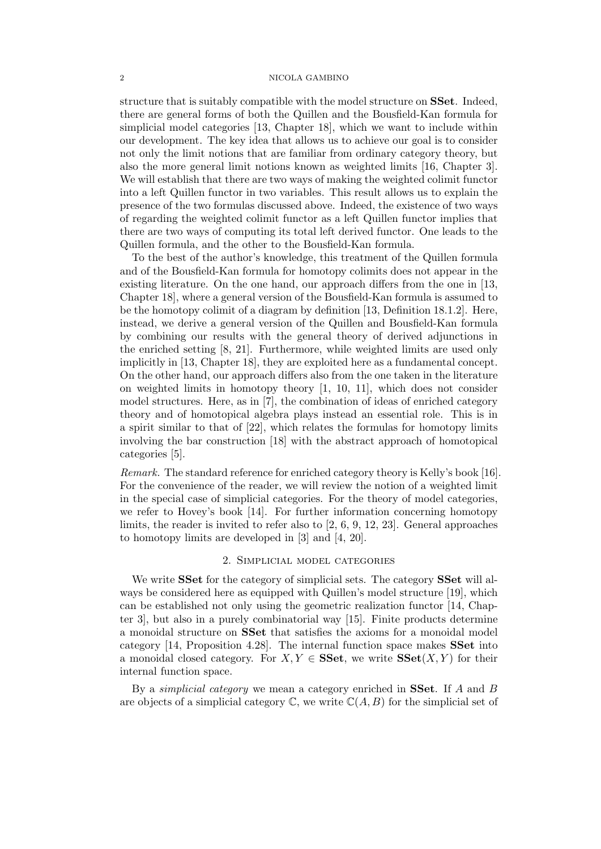structure that is suitably compatible with the model structure on SSet. Indeed, there are general forms of both the Quillen and the Bousfield-Kan formula for simplicial model categories [13, Chapter 18], which we want to include within our development. The key idea that allows us to achieve our goal is to consider not only the limit notions that are familiar from ordinary category theory, but also the more general limit notions known as weighted limits [16, Chapter 3]. We will establish that there are two ways of making the weighted colimit functor into a left Quillen functor in two variables. This result allows us to explain the presence of the two formulas discussed above. Indeed, the existence of two ways of regarding the weighted colimit functor as a left Quillen functor implies that there are two ways of computing its total left derived functor. One leads to the Quillen formula, and the other to the Bousfield-Kan formula.

To the best of the author's knowledge, this treatment of the Quillen formula and of the Bousfield-Kan formula for homotopy colimits does not appear in the existing literature. On the one hand, our approach differs from the one in [13, Chapter 18], where a general version of the Bousfield-Kan formula is assumed to be the homotopy colimit of a diagram by definition [13, Definition 18.1.2]. Here, instead, we derive a general version of the Quillen and Bousfield-Kan formula by combining our results with the general theory of derived adjunctions in the enriched setting [8, 21]. Furthermore, while weighted limits are used only implicitly in [13, Chapter 18], they are exploited here as a fundamental concept. On the other hand, our approach differs also from the one taken in the literature on weighted limits in homotopy theory [1, 10, 11], which does not consider model structures. Here, as in [7], the combination of ideas of enriched category theory and of homotopical algebra plays instead an essential role. This is in a spirit similar to that of [22], which relates the formulas for homotopy limits involving the bar construction [18] with the abstract approach of homotopical categories [5].

Remark. The standard reference for enriched category theory is Kelly's book [16]. For the convenience of the reader, we will review the notion of a weighted limit in the special case of simplicial categories. For the theory of model categories, we refer to Hovey's book [14]. For further information concerning homotopy limits, the reader is invited to refer also to [2, 6, 9, 12, 23]. General approaches to homotopy limits are developed in [3] and [4, 20].

# 2. Simplicial model categories

We write **SSet** for the category of simplicial sets. The category **SSet** will always be considered here as equipped with Quillen's model structure [19], which can be established not only using the geometric realization functor [14, Chapter 3], but also in a purely combinatorial way [15]. Finite products determine a monoidal structure on SSet that satisfies the axioms for a monoidal model category [14, Proposition 4.28]. The internal function space makes SSet into a monoidal closed category. For  $X, Y \in \mathbf{SSet}$ , we write  $\mathbf{SSet}(X, Y)$  for their internal function space.

By a *simplicial category* we mean a category enriched in SSet. If  $A$  and  $B$ are objects of a simplicial category  $\mathbb C$ , we write  $\mathbb C(A, B)$  for the simplicial set of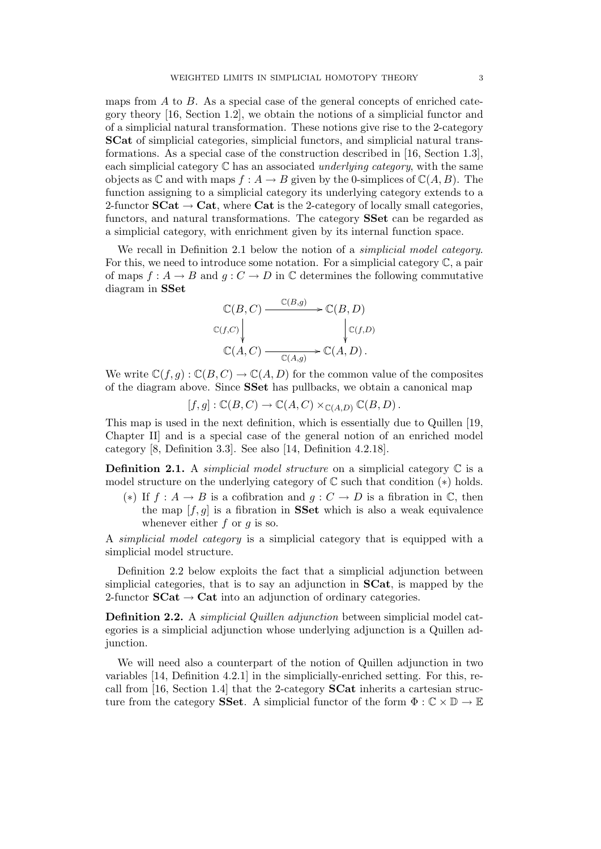maps from A to B. As a special case of the general concepts of enriched category theory [16, Section 1.2], we obtain the notions of a simplicial functor and of a simplicial natural transformation. These notions give rise to the 2-category SCat of simplicial categories, simplicial functors, and simplicial natural transformations. As a special case of the construction described in [16, Section 1.3], each simplicial category  $\mathbb C$  has an associated *underlying category*, with the same objects as  $\mathbb C$  and with maps  $f : A \to B$  given by the 0-simplices of  $\mathbb C(A, B)$ . The function assigning to a simplicial category its underlying category extends to a 2-functor  $\mathbf{SCat} \to \mathbf{Cat}$ , where  $\mathbf{Cat}$  is the 2-category of locally small categories, functors, and natural transformations. The category SSet can be regarded as a simplicial category, with enrichment given by its internal function space.

We recall in Definition 2.1 below the notion of a *simplicial model category*. For this, we need to introduce some notation. For a simplicial category C, a pair of maps  $f : A \to B$  and  $g : C \to D$  in  $\mathbb C$  determines the following commutative diagram in SSet

$$
\mathbb{C}(B, C) \xrightarrow{\mathbb{C}(B,g)} \mathbb{C}(B, D)
$$
  
\n
$$
\mathbb{C}(f,C) \downarrow \qquad \qquad \downarrow \mathbb{C}(f,D)
$$
  
\n
$$
\mathbb{C}(A, C) \xrightarrow{\mathbb{C}(A,g)} \mathbb{C}(A, D).
$$

We write  $\mathbb{C}(f,g) : \mathbb{C}(B,C) \to \mathbb{C}(A,D)$  for the common value of the composites of the diagram above. Since SSet has pullbacks, we obtain a canonical map

 $[f, g] : \mathbb{C}(B, C) \to \mathbb{C}(A, C) \times_{\mathbb{C}(A, D)} \mathbb{C}(B, D).$ 

This map is used in the next definition, which is essentially due to Quillen [19, Chapter II] and is a special case of the general notion of an enriched model category [8, Definition 3.3]. See also [14, Definition 4.2.18].

**Definition 2.1.** A *simplicial model structure* on a simplicial category  $\mathbb C$  is a model structure on the underlying category of  $\mathbb C$  such that condition  $(*)$  holds.

(\*) If  $f : A \to B$  is a cofibration and  $g : C \to D$  is a fibration in  $\mathbb{C}$ , then the map  $[f, g]$  is a fibration in **SSet** which is also a weak equivalence whenever either  $f$  or  $g$  is so.

A simplicial model category is a simplicial category that is equipped with a simplicial model structure.

Definition 2.2 below exploits the fact that a simplicial adjunction between simplicial categories, that is to say an adjunction in SCat, is mapped by the 2-functor  $SCat \rightarrow Cat$  into an adjunction of ordinary categories.

Definition 2.2. A simplicial Quillen adjunction between simplicial model categories is a simplicial adjunction whose underlying adjunction is a Quillen adjunction.

We will need also a counterpart of the notion of Quillen adjunction in two variables [14, Definition 4.2.1] in the simplicially-enriched setting. For this, recall from [16, Section 1.4] that the 2-category SCat inherits a cartesian structure from the category **SSet**. A simplicial functor of the form  $\Phi : \mathbb{C} \times \mathbb{D} \to \mathbb{E}$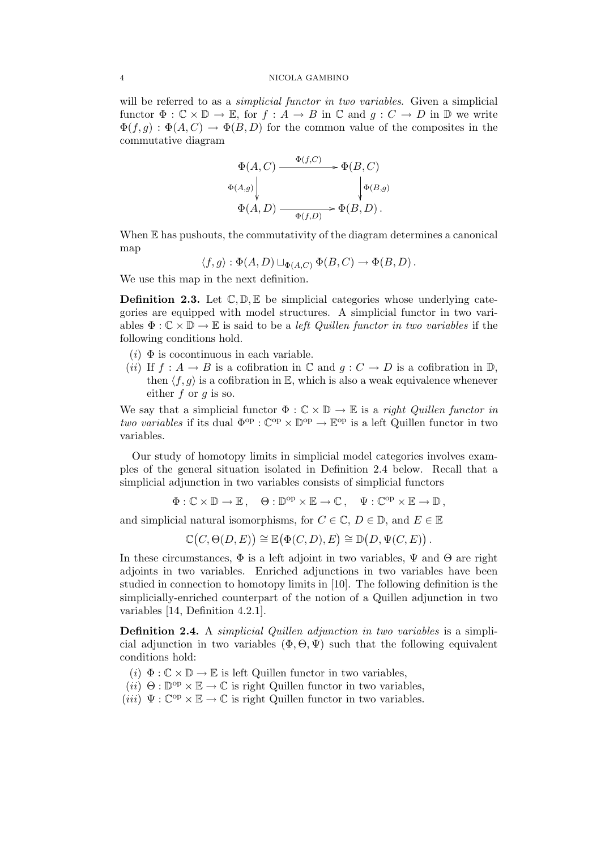will be referred to as a *simplicial functor in two variables*. Given a simplicial functor  $\Phi : \mathbb{C} \times \mathbb{D} \to \mathbb{E}$ , for  $f : A \to B$  in  $\mathbb{C}$  and  $g : C \to D$  in  $\mathbb{D}$  we write  $\Phi(f,g) : \Phi(A,C) \to \Phi(B,D)$  for the common value of the composites in the commutative diagram

$$
\Phi(A, C) \xrightarrow{\Phi(f, C)} \Phi(B, C)
$$
  
\n
$$
\Phi(A, g) \downarrow \qquad \qquad \downarrow \Phi(B, g)
$$
  
\n
$$
\Phi(A, D) \xrightarrow{\Phi(f, D)} \Phi(B, D).
$$

When  $E$  has pushouts, the commutativity of the diagram determines a canonical map

$$
\langle f, g \rangle : \Phi(A, D) \sqcup_{\Phi(A, C)} \Phi(B, C) \to \Phi(B, D).
$$

We use this map in the next definition.

**Definition 2.3.** Let  $\mathbb{C}, \mathbb{D}, \mathbb{E}$  be simplicial categories whose underlying categories are equipped with model structures. A simplicial functor in two variables  $\Phi : \mathbb{C} \times \mathbb{D} \to \mathbb{E}$  is said to be a *left Quillen functor in two variables* if the following conditions hold.

- $(i)$  Φ is cocontinuous in each variable.
- (ii) If  $f : A \to B$  is a cofibration in  $\mathbb C$  and  $g : C \to D$  is a cofibration in  $\mathbb D$ , then  $\langle f, q \rangle$  is a cofibration in E, which is also a weak equivalence whenever either  $f$  or  $g$  is so.

We say that a simplicial functor  $\Phi : \mathbb{C} \times \mathbb{D} \to \mathbb{E}$  is a right Quillen functor in two variables if its dual  $\Phi^{op} : \mathbb{C}^{op} \times \mathbb{D}^{op} \to \mathbb{E}^{op}$  is a left Quillen functor in two variables.

Our study of homotopy limits in simplicial model categories involves examples of the general situation isolated in Definition 2.4 below. Recall that a simplicial adjunction in two variables consists of simplicial functors

$$
\Phi: \mathbb{C} \times \mathbb{D} \to \mathbb{E}, \quad \Theta: \mathbb{D}^{\text{op}} \times \mathbb{E} \to \mathbb{C}, \quad \Psi: \mathbb{C}^{\text{op}} \times \mathbb{E} \to \mathbb{D},
$$

and simplicial natural isomorphisms, for  $C \in \mathbb{C}$ ,  $D \in \mathbb{D}$ , and  $E \in \mathbb{E}$ 

$$
\mathbb{C}(C,\Theta(D,E)) \cong \mathbb{E}(\Phi(C,D),E) \cong \mathbb{D}(D,\Psi(C,E)).
$$

In these circumstances,  $\Phi$  is a left adjoint in two variables,  $\Psi$  and  $\Theta$  are right adjoints in two variables. Enriched adjunctions in two variables have been studied in connection to homotopy limits in [10]. The following definition is the simplicially-enriched counterpart of the notion of a Quillen adjunction in two variables [14, Definition 4.2.1].

**Definition 2.4.** A *simplicial Quillen adjunction in two variables* is a simplicial adjunction in two variables  $(\Phi, \Theta, \Psi)$  such that the following equivalent conditions hold:

- (i)  $\Phi : \mathbb{C} \times \mathbb{D} \to \mathbb{E}$  is left Quillen functor in two variables,
- $(ii)$   $\Theta : \mathbb{D}^{op} \times \mathbb{E} \to \mathbb{C}$  is right Quillen functor in two variables,
- $(iii) \Psi : \mathbb{C}^{op} \times \mathbb{E} \to \mathbb{C}$  is right Quillen functor in two variables.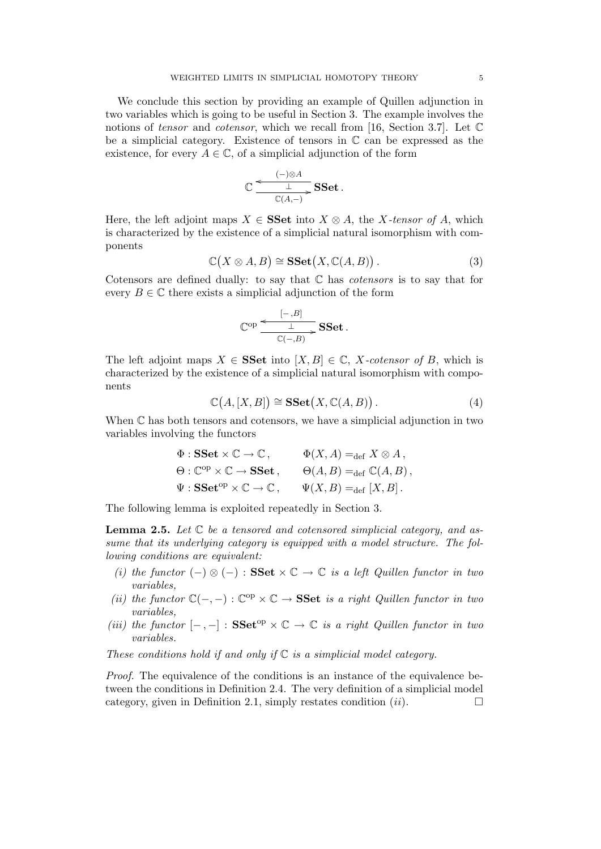We conclude this section by providing an example of Quillen adjunction in two variables which is going to be useful in Section 3. The example involves the notions of tensor and cotensor, which we recall from [16, Section 3.7]. Let C be a simplicial category. Existence of tensors in C can be expressed as the existence, for every  $A \in \mathbb{C}$ , of a simplicial adjunction of the form

$$
\mathbb{C} \frac{\xleftarrow{(-)\otimes A} \mathbf{SSet}}{\xrightarrow{\mathbb{C}(A,-)}} \mathbf{SSet}.
$$

Here, the left adjoint maps  $X \in \mathbf{SSet}$  into  $X \otimes A$ , the X-tensor of A, which is characterized by the existence of a simplicial natural isomorphism with components

$$
\mathbb{C}(X \otimes A, B) \cong \mathbf{SSet}(X, \mathbb{C}(A, B)). \tag{3}
$$

Cotensors are defined dually: to say that  $\mathbb C$  has *cotensors* is to say that for every  $B \in \mathbb{C}$  there exists a simplicial adjunction of the form

$$
\mathbb{C}^{\mathrm{op}}\xrightarrow{\begin{subarray}{c}[-,B]\\ \hline \mathbb{C}(-,B)\end{subarray}}\mathbf{SSet}\,.
$$

The left adjoint maps  $X \in \mathbf{SSet}$  into  $[X, B] \in \mathbb{C}$ , X-cotensor of B, which is characterized by the existence of a simplicial natural isomorphism with components

$$
\mathbb{C}(A,[X,B]) \cong \mathbf{SSet}(X,\mathbb{C}(A,B)). \tag{4}
$$

When C has both tensors and cotensors, we have a simplicial adjunction in two variables involving the functors

$$
\Phi : \mathbf{SSet} \times \mathbb{C} \to \mathbb{C}, \qquad \Phi(X, A) =_{\text{def}} X \otimes A,
$$
  
\n
$$
\Theta : \mathbb{C}^{\text{op}} \times \mathbb{C} \to \mathbf{SSet}, \qquad \Theta(A, B) =_{\text{def}} \mathbb{C}(A, B),
$$
  
\n
$$
\Psi : \mathbf{SSet}^{\text{op}} \times \mathbb{C} \to \mathbb{C}, \qquad \Psi(X, B) =_{\text{def}} [X, B].
$$

The following lemma is exploited repeatedly in Section 3.

**Lemma 2.5.** Let  $\mathbb C$  be a tensored and cotensored simplicial category, and assume that its underlying category is equipped with a model structure. The following conditions are equivalent:

- (i) the functor  $(-) \otimes (-)$ : SSet  $\times \mathbb{C} \to \mathbb{C}$  is a left Quillen functor in two variables,
- (ii) the functor  $\mathbb{C}(-,-): \mathbb{C}^{op} \times \mathbb{C} \to \mathbf{SSet}$  is a right Quillen functor in two variables,
- (iii) the functor  $[-,-]:$  SSet<sup>op</sup>  $\times \mathbb{C} \rightarrow \mathbb{C}$  is a right Quillen functor in two variables.

These conditions hold if and only if  $\mathbb C$  is a simplicial model category.

Proof. The equivalence of the conditions is an instance of the equivalence between the conditions in Definition 2.4. The very definition of a simplicial model category, given in Definition 2.1, simply restates condition  $(ii)$ .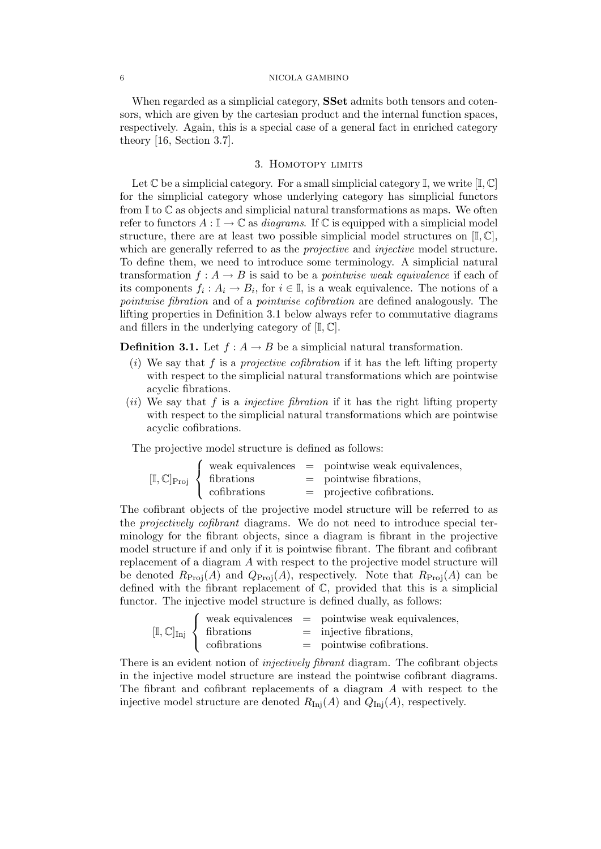When regarded as a simplicial category, **SSet** admits both tensors and cotensors, which are given by the cartesian product and the internal function spaces, respectively. Again, this is a special case of a general fact in enriched category theory [16, Section 3.7].

# 3. HOMOTOPY LIMITS

Let  $\mathbb C$  be a simplicial category. For a small simplicial category  $\mathbb I$ , we write  $[\mathbb I, \mathbb C]$ for the simplicial category whose underlying category has simplicial functors from  $\mathbb{I}$  to  $\mathbb{C}$  as objects and simplicial natural transformations as maps. We often refer to functors  $A: \mathbb{I} \to \mathbb{C}$  as *diagrams*. If  $\mathbb{C}$  is equipped with a simplicial model structure, there are at least two possible simplicial model structures on  $[I, \mathbb{C}],$ which are generally referred to as the *projective* and *injective* model structure. To define them, we need to introduce some terminology. A simplicial natural transformation  $f: A \to B$  is said to be a *pointwise weak equivalence* if each of its components  $f_i: A_i \to B_i$ , for  $i \in \mathbb{I}$ , is a weak equivalence. The notions of a pointwise fibration and of a pointwise cofibration are defined analogously. The lifting properties in Definition 3.1 below always refer to commutative diagrams and fillers in the underlying category of  $[I, \mathbb{C}]$ .

**Definition 3.1.** Let  $f : A \rightarrow B$  be a simplicial natural transformation.

- (i) We say that f is a *projective cofibration* if it has the left lifting property with respect to the simplicial natural transformations which are pointwise acyclic fibrations.
- (ii) We say that f is a *injective fibration* if it has the right lifting property with respect to the simplicial natural transformations which are pointwise acyclic cofibrations.

The projective model structure is defined as follows:

|  |                                                     | $\int$ weak equivalences = pointwise weak equivalences, |
|--|-----------------------------------------------------|---------------------------------------------------------|
|  | $[\mathbb{I}, \mathbb{C}]_{\text{Proj}}$ fibrations | $=$ pointwise fibrations,                               |
|  | cofibrations                                        | $=$ projective cofibrations.                            |

The cofibrant objects of the projective model structure will be referred to as the projectively cofibrant diagrams. We do not need to introduce special terminology for the fibrant objects, since a diagram is fibrant in the projective model structure if and only if it is pointwise fibrant. The fibrant and cofibrant replacement of a diagram A with respect to the projective model structure will be denoted  $R_{\text{Proj}}(A)$  and  $Q_{\text{Proj}}(A)$ , respectively. Note that  $R_{\text{Proj}}(A)$  can be defined with the fibrant replacement of C, provided that this is a simplicial functor. The injective model structure is defined dually, as follows:

|                                                                             | $\forall$ weak equivalences = pointwise weak equivalences, |
|-----------------------------------------------------------------------------|------------------------------------------------------------|
| $[\mathbb{I}, \mathbb{C}]_{\text{Inj}} \left\{ \text{ fibrations} \right\}$ | $=$ injective fibrations,                                  |
| cofibrations                                                                | $=$ pointwise cofibrations.                                |

There is an evident notion of *injectively fibrant* diagram. The cofibrant objects in the injective model structure are instead the pointwise cofibrant diagrams. The fibrant and cofibrant replacements of a diagram A with respect to the injective model structure are denoted  $R_{\text{Inj}}(A)$  and  $Q_{\text{Inj}}(A)$ , respectively.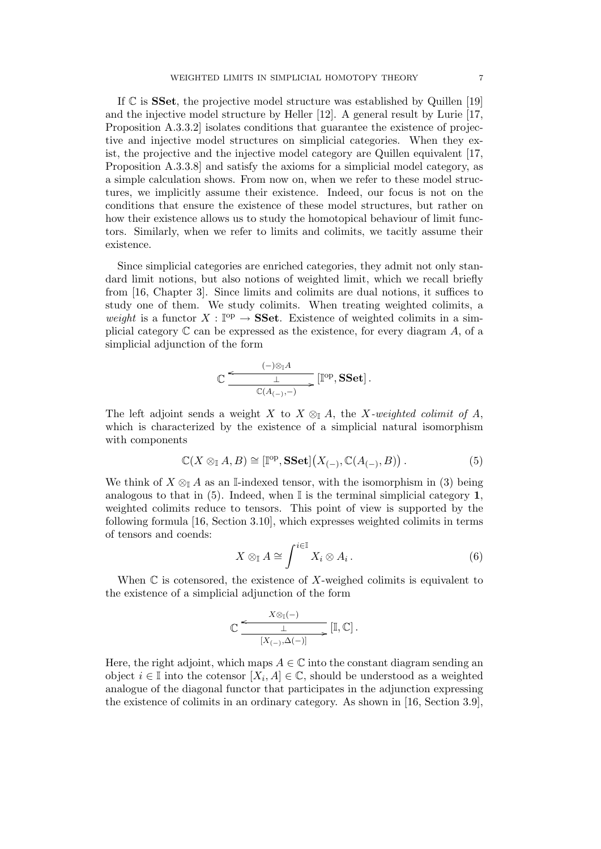If  $\mathbb C$  is **SSet**, the projective model structure was established by Quillen [19] and the injective model structure by Heller [12]. A general result by Lurie [17, Proposition A.3.3.2] isolates conditions that guarantee the existence of projective and injective model structures on simplicial categories. When they exist, the projective and the injective model category are Quillen equivalent [17, Proposition A.3.3.8] and satisfy the axioms for a simplicial model category, as a simple calculation shows. From now on, when we refer to these model structures, we implicitly assume their existence. Indeed, our focus is not on the conditions that ensure the existence of these model structures, but rather on how their existence allows us to study the homotopical behaviour of limit functors. Similarly, when we refer to limits and colimits, we tacitly assume their existence.

Since simplicial categories are enriched categories, they admit not only standard limit notions, but also notions of weighted limit, which we recall briefly from [16, Chapter 3]. Since limits and colimits are dual notions, it suffices to study one of them. We study colimits. When treating weighted colimits, a weight is a functor  $X : \mathbb{P}^p \to \mathbf{SSet}$ . Existence of weighted colimits in a simplicial category  $\mathbb C$  can be expressed as the existence, for every diagram A, of a simplicial adjunction of the form

$$
\mathbb{C}\,\frac{\overset{\textstyle{(-)\otimes_{\mathbb{I}} A}}{\; \; \bot \; }}{\overset{\mathbb{C}(A_{(-)},-)}{\; \; \;}}\, [\mathbb{I}^\text{{op}},{\bf SSet}]\,.
$$

The left adjoint sends a weight X to  $X \otimes_{\mathbb{I}} A$ , the X-weighted colimit of A, which is characterized by the existence of a simplicial natural isomorphism with components

$$
\mathbb{C}(X \otimes_{\mathbb{I}} A, B) \cong [\mathbb{I}^{op}, \mathbf{SSet}](X_{(-)}, \mathbb{C}(A_{(-)}, B)). \tag{5}
$$

We think of  $X \otimes_{\mathbb{I}} A$  as an I-indexed tensor, with the isomorphism in (3) being analogous to that in (5). Indeed, when  $\mathbb I$  is the terminal simplicial category 1, weighted colimits reduce to tensors. This point of view is supported by the following formula [16, Section 3.10], which expresses weighted colimits in terms of tensors and coends:

$$
X \otimes_{\mathbb{I}} A \cong \int^{i \in \mathbb{I}} X_i \otimes A_i.
$$
 (6)

When  $\mathbb C$  is cotensored, the existence of X-weighed colimits is equivalent to the existence of a simplicial adjunction of the form

$$
\mathbb{C} \xrightarrow{\begin{array}{c} X \otimes_{\mathbb{I}} (-) \\ \hline \downarrow \\ \hline \left[ X_{(-)}, \Delta (-) \right] \end{array}} [\mathbb{I}, \mathbb{C}] \ .
$$

Here, the right adjoint, which maps  $A \in \mathbb{C}$  into the constant diagram sending an object  $i \in \mathbb{I}$  into the cotensor  $[X_i, A] \in \mathbb{C}$ , should be understood as a weighted analogue of the diagonal functor that participates in the adjunction expressing the existence of colimits in an ordinary category. As shown in [16, Section 3.9],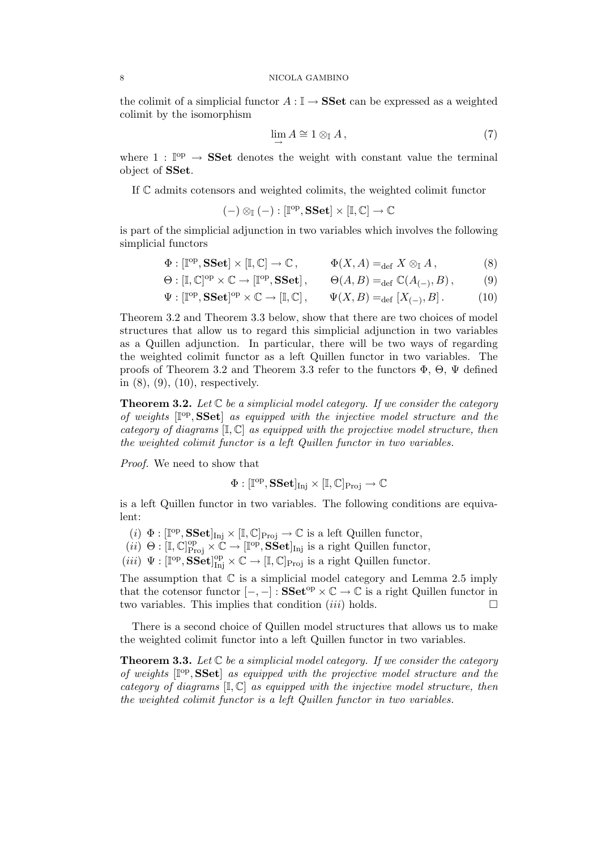the colimit of a simplicial functor  $A: \mathbb{I} \to \mathbf{SSet}$  can be expressed as a weighted colimit by the isomorphism

$$
\lim_{\longrightarrow} A \cong 1 \otimes_{\mathbb{I}} A, \tag{7}
$$

where  $1: \mathbb{I}^{op} \to \mathbf{SSet}$  denotes the weight with constant value the terminal object of SSet.

If C admits cotensors and weighted colimits, the weighted colimit functor

$$
(-) \otimes_{\mathbb{I}} (-) : [\mathbb{I}^{op}, \mathbf{SSet}] \times [\mathbb{I}, \mathbb{C}] \to \mathbb{C}
$$

is part of the simplicial adjunction in two variables which involves the following simplicial functors

$$
\Phi : [\mathbb{I}^{op}, \mathbf{SSet}] \times [\mathbb{I}, \mathbb{C}] \to \mathbb{C}, \qquad \Phi(X, A) =_{\text{def}} X \otimes_{\mathbb{I}} A, \tag{8}
$$

$$
\Theta : [\mathbb{I}, \mathbb{C}]^{\text{op}} \times \mathbb{C} \to [\mathbb{I}^{\text{op}}, \mathbf{SSet}], \qquad \Theta(A, B) =_{\text{def}} \mathbb{C}(A_{(-)}, B), \tag{9}
$$

$$
\Psi : [\mathbb{I}^{\text{op}}, \mathbf{SSet}]^{\text{op}} \times \mathbb{C} \to [\mathbb{I}, \mathbb{C}], \qquad \Psi(X, B) =_{\text{def}} [X_{(-)}, B]. \tag{10}
$$

Theorem 3.2 and Theorem 3.3 below, show that there are two choices of model structures that allow us to regard this simplicial adjunction in two variables as a Quillen adjunction. In particular, there will be two ways of regarding the weighted colimit functor as a left Quillen functor in two variables. The proofs of Theorem 3.2 and Theorem 3.3 refer to the functors  $\Phi$ ,  $\Theta$ ,  $\Psi$  defined in (8), (9), (10), respectively.

**Theorem 3.2.** Let  $\mathbb C$  be a simplicial model category. If we consider the category of weights  $[\mathbb{I}^{op},\mathbf{SSet}]$  as equipped with the injective model structure and the category of diagrams  $[\mathbb{I}, \mathbb{C}]$  as equipped with the projective model structure, then the weighted colimit functor is a left Quillen functor in two variables.

Proof. We need to show that

$$
\Phi:[\mathbb{I}^{op},\mathbf{SSet}]_{\mathrm{Inj}}\times[\mathbb{I},\mathbb{C}]_{\mathrm{Proj}}\rightarrow\mathbb{C}
$$

is a left Quillen functor in two variables. The following conditions are equivalent:

- (*i*)  $\Phi : [\mathbb{I}^{\text{op}}, \mathbf{SSet}]_{\text{Inj}} \times [\mathbb{I}, \mathbb{C}]_{\text{Proj}} \to \mathbb{C}$  is a left Quillen functor,
- $(ii) \Theta : [\mathbb{I}, \mathbb{C}]^{\text{op}}_{\text{Proj}} \times \mathbb{C} \to [\mathbb{I}^{\text{op}}, \mathbf{SSet}]_{\text{Inj}}$  is a right Quillen functor,
- $(iii) \Psi : [\mathbb{I}^{op}, \mathbf{SSet}]^{\text{op}}_{\text{Inj}} \times \mathbb{C} \to [\mathbb{I}, \mathbb{C}]_{\text{Proj}}$  is a right Quillen functor.

The assumption that  $\mathbb C$  is a simplicial model category and Lemma 2.5 imply that the cotensor functor  $[-,-]:$  SSet<sup>op</sup>  $\times \mathbb{C} \to \mathbb{C}$  is a right Quillen functor in two variables. This implies that condition  $(iii)$  holds.

There is a second choice of Quillen model structures that allows us to make the weighted colimit functor into a left Quillen functor in two variables.

**Theorem 3.3.** Let  $\mathbb C$  be a simplicial model category. If we consider the category of weights  $[\mathbb{I}^{op}, \mathbf{SSet}]$  as equipped with the projective model structure and the category of diagrams  $[I, \mathbb{C}]$  as equipped with the injective model structure, then the weighted colimit functor is a left Quillen functor in two variables.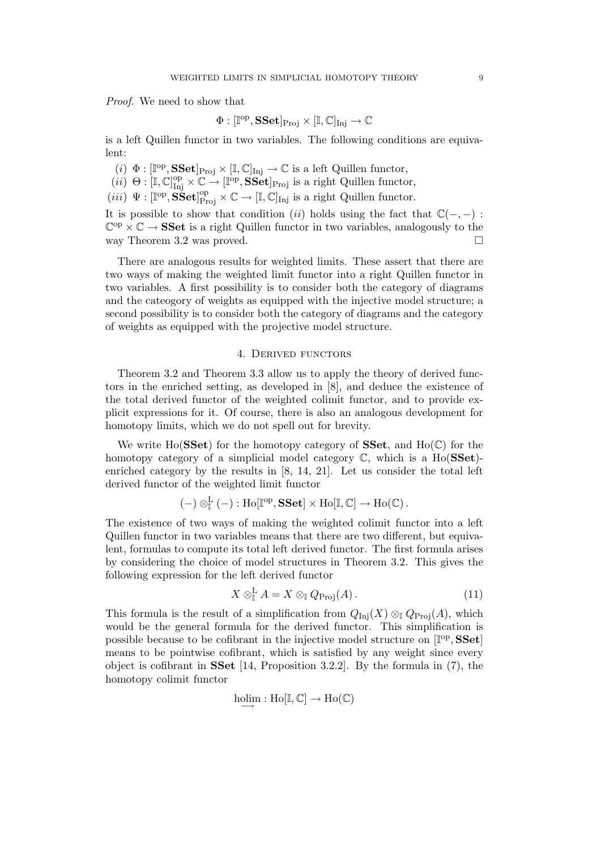Proof. We need to show that

$$
\Phi:[\mathbb{I}^{\mathrm{op}},{\bf SSet}]_{\mathrm{Proj}}\times [\mathbb{I},\mathbb{C}]_{\mathrm{Inj}}\rightarrow \mathbb{C}
$$

is a left Quillen functor in two variables. The following conditions are equivalent:

(*i*)  $\Phi : [\mathbb{I}^{\text{op}}, \mathbf{SSet}]_{\text{Proj}} \times [\mathbb{I}, \mathbb{C}]_{\text{Inj}} \to \mathbb{C}$  is a left Quillen functor,

 $(ii) \Theta : [\mathbb{I}, \mathbb{C}]^{\text{op}}_{\text{Inj}} \times \mathbb{C} \to [\mathbb{I}^{\text{op}}, \mathbf{SSet}]_{\text{Proj}}$  is a right Quillen functor,

 $(iii) \Psi : [\mathbb{I}^{op}, \mathbf{SSet}]^{op}_{Proj} \times \mathbb{C} \to [\mathbb{I}, \mathbb{C}]_{Inj}$  is a right Quillen functor.

It is possible to show that condition (ii) holds using the fact that  $\mathbb{C}(-, -)$ :  $\mathbb{C}^{\mathrm{op}} \times \mathbb{C} \to \mathbf{SSet}$  is a right Quillen functor in two variables, analogously to the way Theorem 3.2 was proved.

There are analogous results for weighted limits. These assert that there are two ways of making the weighted limit functor into a right Quillen functor in two variables. A first possibility is to consider both the category of diagrams and the cateogory of weights as equipped with the injective model structure; a second possibility is to consider both the category of diagrams and the category of weights as equipped with the projective model structure.

## 4. Derived functors

Theorem 3.2 and Theorem 3.3 allow us to apply the theory of derived functors in the enriched setting, as developed in [8], and deduce the existence of the total derived functor of the weighted colimit functor, and to provide explicit expressions for it. Of course, there is also an analogous development for homotopy limits, which we do not spell out for brevity.

We write Ho( $SSet$ ) for the homotopy category of SSet, and Ho( $\mathbb{C}$ ) for the homotopy category of a simplicial model category  $\mathbb{C}$ , which is a Ho(SSet)enriched category by the results in [8, 14, 21]. Let us consider the total left derived functor of the weighted limit functor

$$
(-) \otimes_{\mathbb{I}}^{\mathbf{L}} (-) : Ho[\mathbb{I}^{op}, \mathbf{SSet}] \times Ho[\mathbb{I}, \mathbb{C}] \to Ho(\mathbb{C}).
$$

The existence of two ways of making the weighted colimit functor into a left Quillen functor in two variables means that there are two different, but equivalent, formulas to compute its total left derived functor. The first formula arises by considering the choice of model structures in Theorem 3.2. This gives the following expression for the left derived functor

$$
X \otimes_{\mathbb{I}}^{\mathbf{L}} A = X \otimes_{\mathbb{I}} Q_{\text{Proj}}(A).
$$
 (11)

This formula is the result of a simplification from  $Q_{\text{Ini}}(X) \otimes_{\mathbb{I}} Q_{\text{Proj}}(A)$ , which would be the general formula for the derived functor. This simplification is possible because to be cofibrant in the injective model structure on  $[\mathbb{I}^{op}, \mathbf{SSet}]$ means to be pointwise cofibrant, which is satisfied by any weight since every object is cofibrant in SSet [14, Proposition 3.2.2]. By the formula in (7), the homotopy colimit functor

$$
\underset{\longrightarrow}{\operatorname{holim}}: \operatorname{Ho}[\mathbb{I},\mathbb{C}] \rightarrow \operatorname{Ho}(\mathbb{C})
$$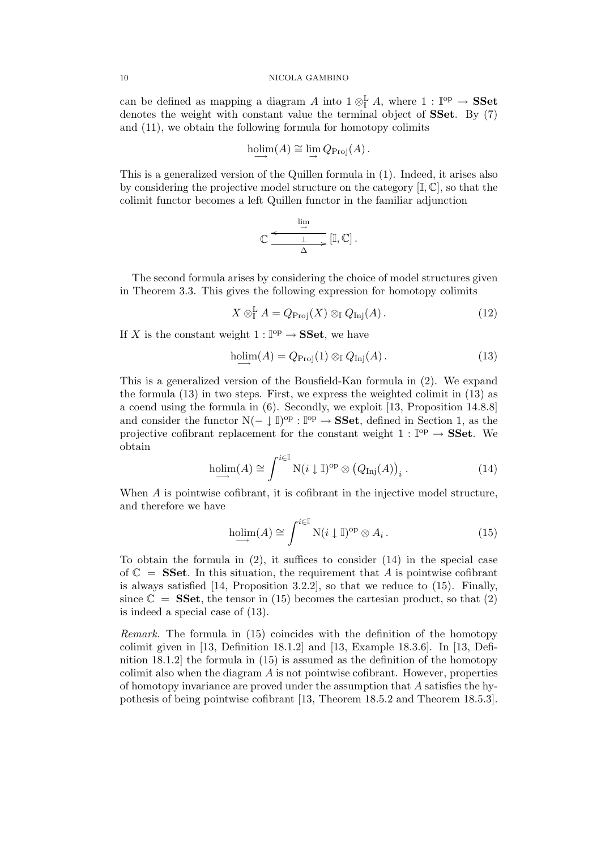can be defined as mapping a diagram A into  $1 \otimes_{\mathbb{I}}^{\mathbf{L}} A$ , where  $1 : \mathbb{I}^{\text{op}} \to \mathbf{SSet}$ denotes the weight with constant value the terminal object of **SSet**. By (7) and (11), we obtain the following formula for homotopy colimits

$$
\underset{\longrightarrow}{\text{holim}}(A) \cong \lim_{\longrightarrow} Q_{\text{Proj}}(A).
$$

This is a generalized version of the Quillen formula in (1). Indeed, it arises also by considering the projective model structure on the category  $[\mathbb{I}, \mathbb{C}]$ , so that the colimit functor becomes a left Quillen functor in the familiar adjunction

$$
\mathbb{C} \xrightarrow[\Delta]{\text{lim}} \mathbb{I}, \mathbb{C} \, .
$$

The second formula arises by considering the choice of model structures given in Theorem 3.3. This gives the following expression for homotopy colimits

$$
X \otimes_{\mathbb{I}}^{\mathbf{L}} A = Q_{\text{Proj}}(X) \otimes_{\mathbb{I}} Q_{\text{Inj}}(A).
$$
 (12)

If X is the constant weight  $1: \mathbb{P}^p \to \mathbf{SSet}$ , we have

$$
\text{holim}(A) = Q_{\text{Proj}}(1) \otimes_{\mathbb{I}} Q_{\text{Inj}}(A).
$$
\n(13)

This is a generalized version of the Bousfield-Kan formula in (2). We expand the formula (13) in two steps. First, we express the weighted colimit in (13) as a coend using the formula in (6). Secondly, we exploit [13, Proposition 14.8.8] and consider the functor  $N(-\downarrow \mathbb{I})^{\text{op}}$  :  $\mathbb{I}^{\text{op}} \to \mathbf{SSet}$ , defined in Section 1, as the projective cofibrant replacement for the constant weight  $1: \mathbb{P}^p \to \mathbf{SSet}$ . We obtain

$$
\underset{\longrightarrow}{\text{holim}}(A) \cong \int^{i \in \mathbb{I}} N(i \downarrow \mathbb{I})^{\text{op}} \otimes (Q_{\text{Inj}}(A))_i.
$$
 (14)

When A is pointwise cofibrant, it is cofibrant in the injective model structure, and therefore we have

$$
\underset{\longrightarrow}{\text{holim}}(A) \cong \int^{i \in \mathbb{I}} N(i \downarrow \mathbb{I})^{\text{op}} \otimes A_i. \tag{15}
$$

To obtain the formula in  $(2)$ , it suffices to consider  $(14)$  in the special case of  $\mathbb{C}$  = **SSet**. In this situation, the requirement that A is pointwise cofibrant is always satisfied  $[14,$  Proposition 3.2.2, so that we reduce to  $(15)$ . Finally, since  $\mathbb{C} = \mathbf{SSet}$ , the tensor in (15) becomes the cartesian product, so that (2) is indeed a special case of (13).

Remark. The formula in (15) coincides with the definition of the homotopy colimit given in [13, Definition 18.1.2] and [13, Example 18.3.6]. In [13, Definition 18.1.2] the formula in (15) is assumed as the definition of the homotopy colimit also when the diagram A is not pointwise cofibrant. However, properties of homotopy invariance are proved under the assumption that A satisfies the hypothesis of being pointwise cofibrant [13, Theorem 18.5.2 and Theorem 18.5.3].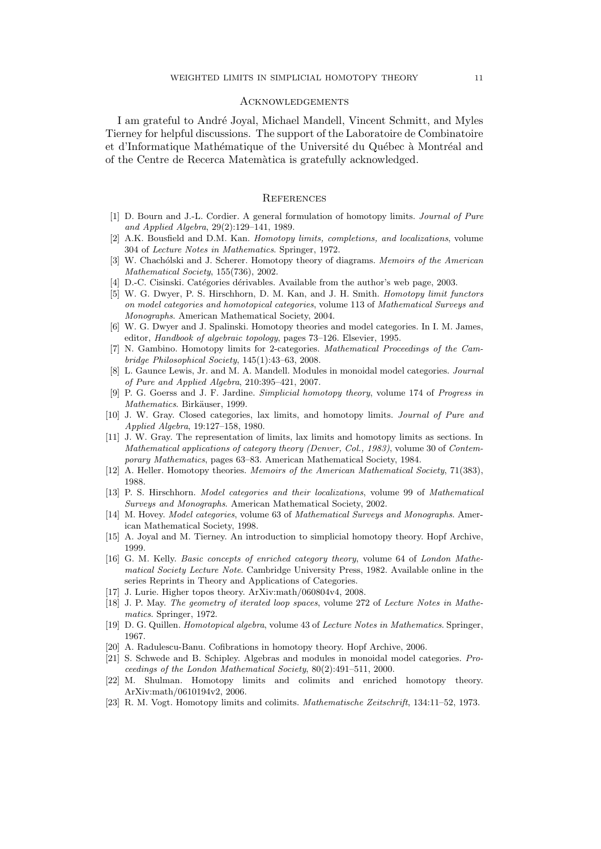### **ACKNOWLEDGEMENTS**

I am grateful to Andr´e Joyal, Michael Mandell, Vincent Schmitt, and Myles Tierney for helpful discussions. The support of the Laboratoire de Combinatoire et d'Informatique Mathématique of the Université du Québec à Montréal and of the Centre de Recerca Matem`atica is gratefully acknowledged.

## **REFERENCES**

- [1] D. Bourn and J.-L. Cordier. A general formulation of homotopy limits. Journal of Pure and Applied Algebra, 29(2):129–141, 1989.
- [2] A.K. Bousfield and D.M. Kan. Homotopy limits, completions, and localizations, volume 304 of Lecture Notes in Mathematics. Springer, 1972.
- [3] W. Chachólski and J. Scherer. Homotopy theory of diagrams. Memoirs of the American Mathematical Society, 155(736), 2002.
- [4] D.-C. Cisinski. Catégories dérivables. Available from the author's web page, 2003.
- [5] W. G. Dwyer, P. S. Hirschhorn, D. M. Kan, and J. H. Smith. Homotopy limit functors on model categories and homotopical categories, volume 113 of Mathematical Surveys and Monographs. American Mathematical Society, 2004.
- [6] W. G. Dwyer and J. Spalinski. Homotopy theories and model categories. In I. M. James, editor, Handbook of algebraic topology, pages 73–126. Elsevier, 1995.
- [7] N. Gambino. Homotopy limits for 2-categories. Mathematical Proceedings of the Cambridge Philosophical Society, 145(1):43–63, 2008.
- [8] L. Gaunce Lewis, Jr. and M. A. Mandell. Modules in monoidal model categories. Journal of Pure and Applied Algebra, 210:395–421, 2007.
- [9] P. G. Goerss and J. F. Jardine. Simplicial homotopy theory, volume 174 of Progress in Mathematics. Birkäuser, 1999.
- [10] J. W. Gray. Closed categories, lax limits, and homotopy limits. Journal of Pure and Applied Algebra, 19:127–158, 1980.
- [11] J. W. Gray. The representation of limits, lax limits and homotopy limits as sections. In Mathematical applications of category theory (Denver, Col., 1983), volume 30 of Contemporary Mathematics, pages 63–83. American Mathematical Society, 1984.
- [12] A. Heller. Homotopy theories. Memoirs of the American Mathematical Society, 71(383), 1988.
- [13] P. S. Hirschhorn. Model categories and their localizations, volume 99 of Mathematical Surveys and Monographs. American Mathematical Society, 2002.
- [14] M. Hovey. *Model categories*, volume 63 of *Mathematical Surveys and Monographs*. American Mathematical Society, 1998.
- [15] A. Joyal and M. Tierney. An introduction to simplicial homotopy theory. Hopf Archive, 1999.
- [16] G. M. Kelly. Basic concepts of enriched category theory, volume 64 of London Mathematical Society Lecture Note. Cambridge University Press, 1982. Available online in the series Reprints in Theory and Applications of Categories.
- [17] J. Lurie. Higher topos theory. ArXiv:math/060804v4, 2008.
- [18] J. P. May. The geometry of iterated loop spaces, volume 272 of Lecture Notes in Mathematics. Springer, 1972.
- [19] D. G. Quillen. Homotopical algebra, volume 43 of Lecture Notes in Mathematics. Springer, 1967.
- [20] A. Radulescu-Banu. Cofibrations in homotopy theory. Hopf Archive, 2006.
- [21] S. Schwede and B. Schipley. Algebras and modules in monoidal model categories. Proceedings of the London Mathematical Society, 80(2):491–511, 2000.
- [22] M. Shulman. Homotopy limits and colimits and enriched homotopy theory. ArXiv:math/0610194v2, 2006.
- [23] R. M. Vogt. Homotopy limits and colimits. Mathematische Zeitschrift, 134:11–52, 1973.